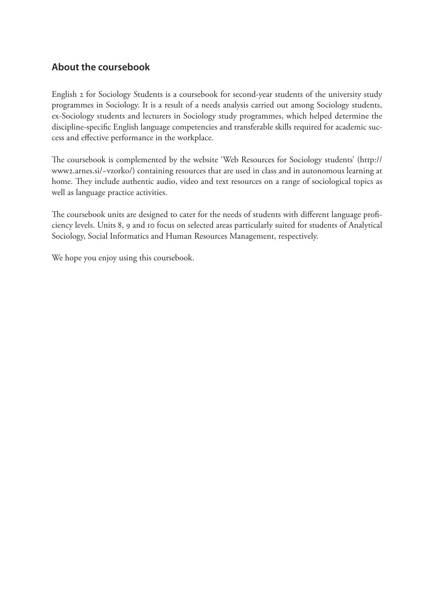## **About the coursebook**

English 2 for Sociology Students is a coursebook for second-year students of the university study programmes in Sociology. It is a result of a needs analysis carried out among Sociology students, ex-Sociology students and lecturers in Sociology study programmes, which helped determine the discipline-specific English language competencies and transferable skills required for academic success and effective performance in the workplace.

The coursebook is complemented by the website 'Web Resources for Sociology students' (http:// www2.arnes.si/~vzorko/) containing resources that are used in class and in autonomous learning at home. They include authentic audio, video and text resources on a range of sociological topics as well as language practice activities.

The coursebook units are designed to cater for the needs of students with different language proficiency levels. Units 8, 9 and 10 focus on selected areas particularly suited for students of Analytical Sociology, Social Informatics and Human Resources Management, respectively.

We hope you enjoy using this coursebook.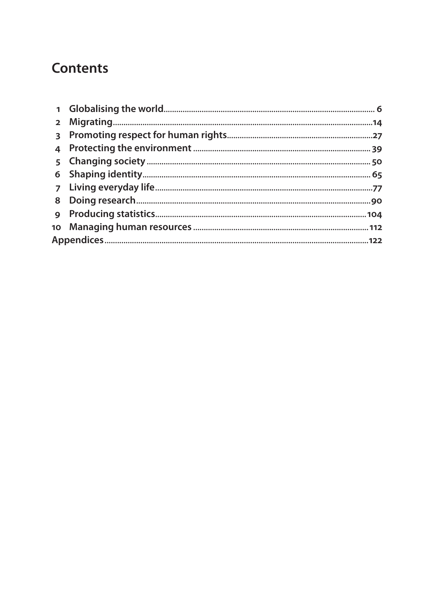# **Contents**

| $2^{\circ}$  |  |
|--------------|--|
| $\mathbf{3}$ |  |
| 4            |  |
| 5            |  |
|              |  |
|              |  |
| 8            |  |
| 9            |  |
|              |  |
|              |  |
|              |  |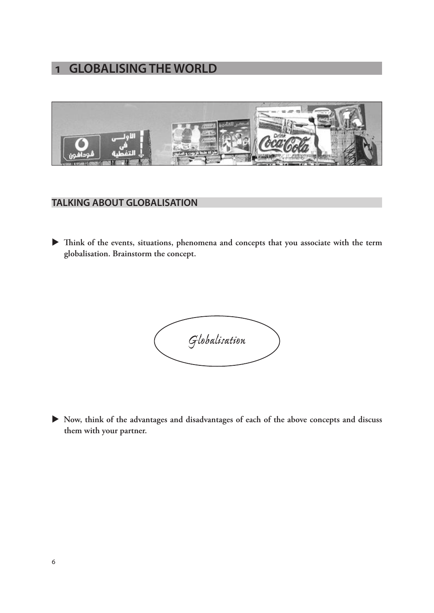# **1 GLOBALISING THE WORLD**



### **TALKING ABOUT GLOBALISATION**

X **Think of the events, situations, phenomena and concepts that you associate with the term globalisation. Brainstorm the concept.**



X **Now, think of the advantages and disadvantages of each of the above concepts and discuss them with your partner.**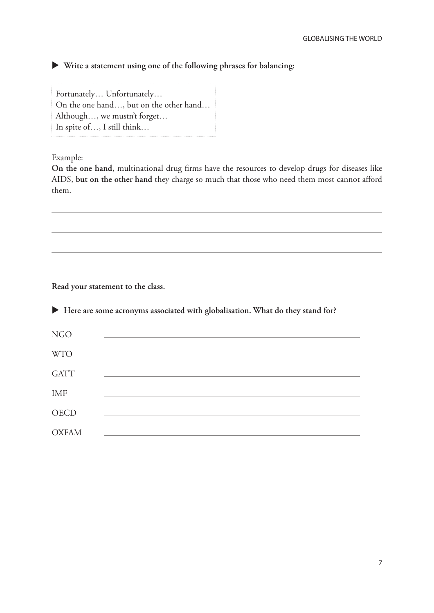X **Write a statement using one of the following phrases for balancing:**

Fortunately… Unfortunately… On the one hand…, but on the other hand… Although…, we mustn't forget… In spite of…, I still think…

Example:

**On the one hand**, multinational drug firms have the resources to develop drugs for diseases like AIDS, **but on the other hand** they charge so much that those who need them most cannot afford them.

**Read your statement to the class.**

X **Here are some acronyms associated with globalisation. What do they stand for?** NGO WTO GATT IMF **OECD** OXFAM